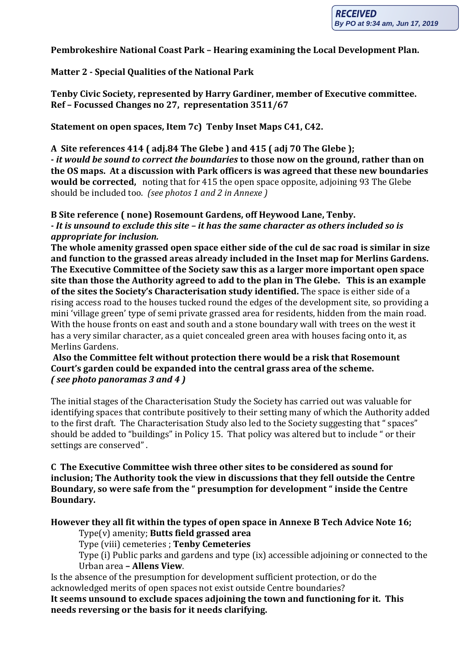**Pembrokeshire National Coast Park – Hearing examining the Local Development Plan.**

# **Matter 2 - Special Qualities of the National Park**

**Tenby Civic Society, represented by Harry Gardiner, member of Executive committee. Ref – Focussed Changes no 27, representation 3511/67**

**Statement on open spaces, Item 7c) Tenby Inset Maps C41, C42.**

**A Site references 414 ( adj.84 The Glebe ) and 415 ( adj 70 The Glebe ); -** *it would be sound to correct the boundaries* **to those now on the ground, rather than on the OS maps. At a discussion with Park officers is was agreed that these new boundaries would be corrected,** noting that for 415 the open space opposite, adjoining 93 The Glebe should be included too. *(see photos 1 and 2 in Annexe )*

**B Site reference ( none) Rosemount Gardens, off Heywood Lane, Tenby.** *- It is unsound to exclude this site – it has the same character as others included so is appropriate for inclusion.*

**The whole amenity grassed open space either side of the cul de sac road is similar in size and function to the grassed areas already included in the Inset map for Merlins Gardens. The Executive Committee of the Society saw this as a larger more important open space site than those the Authority agreed to add to the plan in The Glebe. This is an example of the sites the Society's Characterisation study identified.** The space is either side of a rising access road to the houses tucked round the edges of the development site, so providing a mini 'village green' type of semi private grassed area for residents, hidden from the main road. With the house fronts on east and south and a stone boundary wall with trees on the west it has a very similar character, as a quiet concealed green area with houses facing onto it, as Merlins Gardens.

**Also the Committee felt without protection there would be a risk that Rosemount Court's garden could be expanded into the central grass area of the scheme.** *( see photo panoramas 3 and 4 )* 

The initial stages of the Characterisation Study the Society has carried out was valuable for identifying spaces that contribute positively to their setting many of which the Authority added to the first draft. The Characterisation Study also led to the Society suggesting that " spaces" should be added to "buildings" in Policy 15. That policy was altered but to include " or their settings are conserved" .

**C The Executive Committee wish three other sites to be considered as sound for inclusion; The Authority took the view in discussions that they fell outside the Centre Boundary, so were safe from the " presumption for development " inside the Centre Boundary.**

## **However they all fit within the types of open space in Annexe B Tech Advice Note 16;**

Type(v) amenity; **Butts field grassed area**

Type (viii) cemeteries ; **Tenby Cemeteries**

Type (i) Public parks and gardens and type (ix) accessible adjoining or connected to the Urban area **– Allens View**.

Is the absence of the presumption for development sufficient protection, or do the acknowledged merits of open spaces not exist outside Centre boundaries?

**It seems unsound to exclude spaces adjoining the town and functioning for it. This needs reversing or the basis for it needs clarifying.**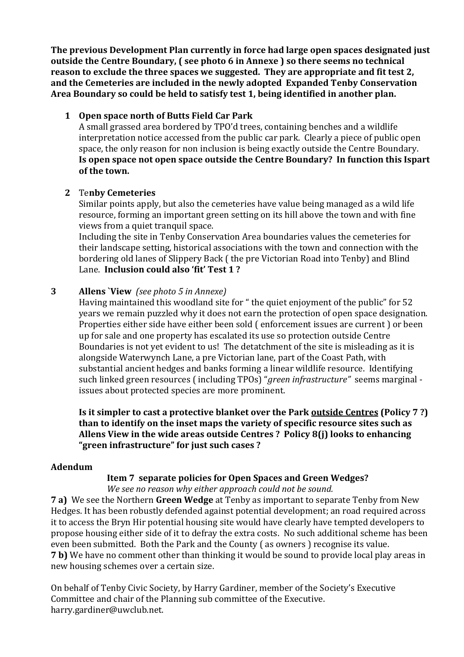**The previous Development Plan currently in force had large open spaces designated just outside the Centre Boundary, ( see photo 6 in Annexe ) so there seems no technical reason to exclude the three spaces we suggested. They are appropriate and fit test 2, and the Cemeteries are included in the newly adopted Expanded Tenby Conservation Area Boundary so could be held to satisfy test 1, being identified in another plan.**

### **1 Open space north of Butts Field Car Park**

A small grassed area bordered by TPO'd trees, containing benches and a wildlife interpretation notice accessed from the public car park. Clearly a piece of public open space, the only reason for non inclusion is being exactly outside the Centre Boundary. **Is open space not open space outside the Centre Boundary? In function this Ispart of the town.**

#### **2** Te**nby Cemeteries**

Similar points apply, but also the cemeteries have value being managed as a wild life resource, forming an important green setting on its hill above the town and with fine views from a quiet tranquil space.

Including the site in Tenby Conservation Area boundaries values the cemeteries for their landscape setting, historical associations with the town and connection with the bordering old lanes of Slippery Back ( the pre Victorian Road into Tenby) and Blind Lane. **Inclusion could also 'fit' Test 1 ?**

#### **3 Allens `View** *(see photo 5 in Annexe)*

Having maintained this woodland site for " the quiet enjoyment of the public" for 52 years we remain puzzled why it does not earn the protection of open space designation. Properties either side have either been sold ( enforcement issues are current ) or been up for sale and one property has escalated its use so protection outside Centre Boundaries is not yet evident to us! The detatchment of the site is misleading as it is alongside Waterwynch Lane, a pre Victorian lane, part of the Coast Path, with substantial ancient hedges and banks forming a linear wildlife resource. Identifying such linked green resources ( including TPOs) "*green infrastructure"* seems marginal issues about protected species are more prominent.

**Is it simpler to cast a protective blanket over the Park outside Centres (Policy 7 ?) than to identify on the inset maps the variety of specific resource sites such as Allens View in the wide areas outside Centres ? Policy 8(j) looks to enhancing "green infrastructure" for just such cases ?**

#### **Adendum**

## **Item 7 separate policies for Open Spaces and Green Wedges?**

*We see no reason why either approach could not be sound.*

**7 a)** We see the Northern **Green Wedge** at Tenby as important to separate Tenby from New Hedges. It has been robustly defended against potential development; an road required across it to access the Bryn Hir potential housing site would have clearly have tempted developers to propose housing either side of it to defray the extra costs. No such additional scheme has been even been submitted. Both the Park and the County ( as owners ) recognise its value. **7 b)** We have no comment other than thinking it would be sound to provide local play areas in new housing schemes over a certain size.

On behalf of Tenby Civic Society, by Harry Gardiner, member of the Society's Executive Committee and chair of the Planning sub committee of the Executive. harry.gardiner@uwclub.net.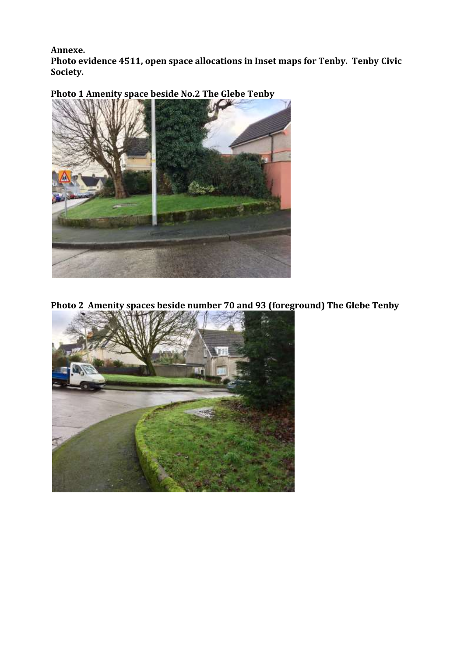#### **Annexe.**

**Photo evidence 4511, open space allocations in Inset maps for Tenby. Tenby Civic Society.**



**Photo 1 Amenity space beside No.2 The Glebe Tenby**

**Photo 2 Amenity spaces beside number 70 and 93 (foreground) The Glebe Tenby**